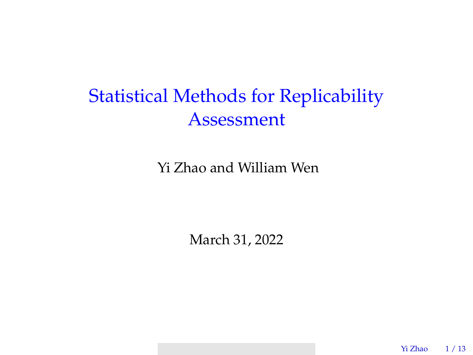# Statistical Methods for Replicability Assessment

Yi Zhao and William Wen

March 31, 2022

Yi Zhao 1 / 13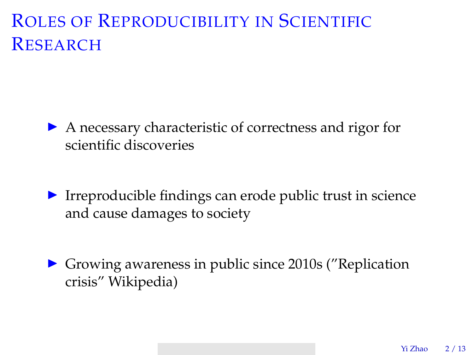# ROLES OF REPRODUCIBILITY IN SCIENTIFIC **RESEARCH**

- ▶ A necessary characteristic of correctness and rigor for scientific discoveries
- ▶ Irreproducible findings can erode public trust in science and cause damages to society
- ▶ Growing awareness in public since 2010s ("Replication crisis" Wikipedia)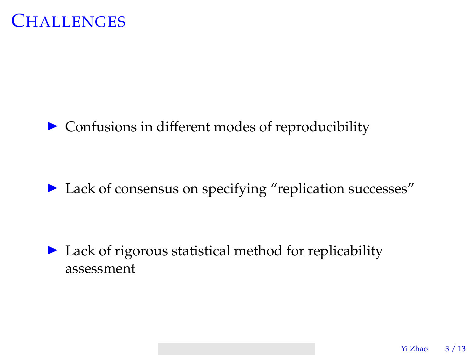

#### ▶ Confusions in different modes of reproducibility

▶ Lack of consensus on specifying "replication successes"

▶ Lack of rigorous statistical method for replicability assessment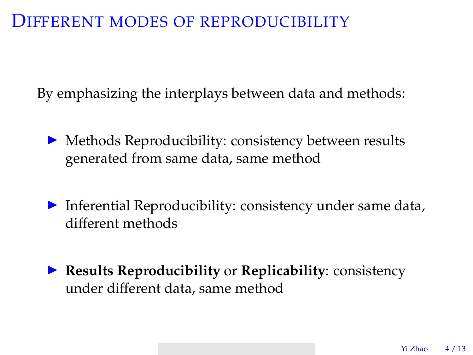### DIFFERENT MODES OF REPRODUCIBILITY

By emphasizing the interplays between data and methods:

- ▶ Methods Reproducibility: consistency between results generated from same data, same method
- ▶ Inferential Reproducibility: consistency under same data, different methods
- ▶ **Results Reproducibility** or **Replicability**: consistency under different data, same method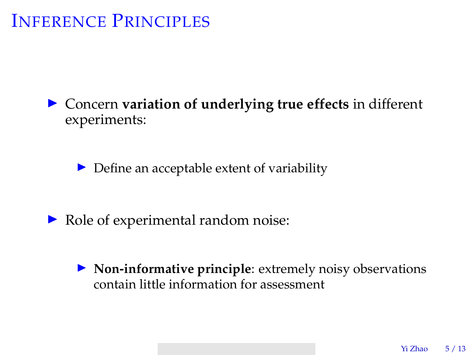# INFERENCE PRINCIPLES

▶ Concern **variation of underlying true effects** in different experiments:

 $\triangleright$  Define an acceptable extent of variability

- ▶ Role of experimental random noise:
	- ▶ **Non-informative principle**: extremely noisy observations contain little information for assessment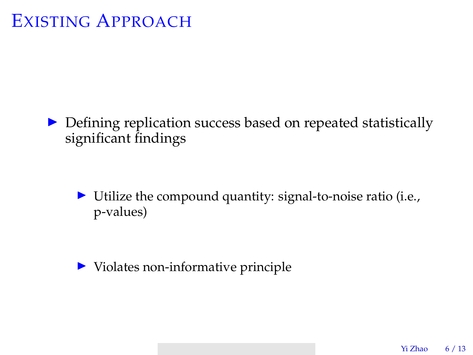## EXISTING APPROACH

▶ Defining replication success based on repeated statistically significant findings

▶ Utilize the compound quantity: signal-to-noise ratio (i.e., p-values)

▶ Violates non-informative principle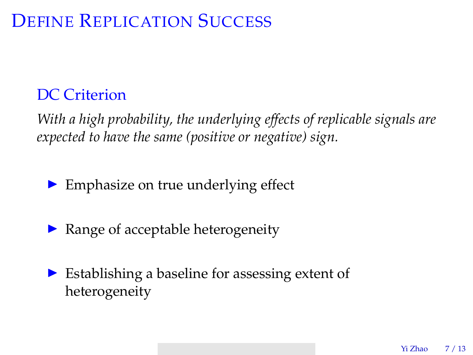# DEFINE REPLICATION SUCCESS

### DC Criterion

*With a high probability, the underlying effects of replicable signals are expected to have the same (positive or negative) sign.*

▶ Emphasize on true underlying effect

- $\triangleright$  Range of acceptable heterogeneity
- ▶ Establishing a baseline for assessing extent of heterogeneity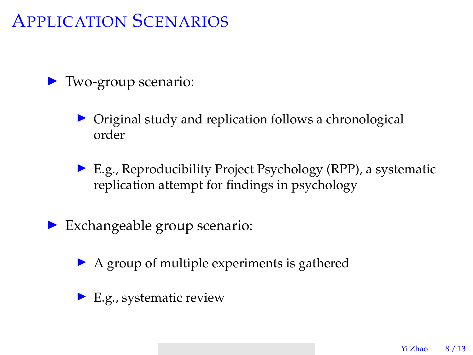# APPLICATION SCENARIOS

#### ▶ Two-group scenario:

- Original study and replication follows a chronological order
- ▶ E.g., Reproducibility Project Psychology (RPP), a systematic replication attempt for findings in psychology
- $\triangleright$  Exchangeable group scenario:
	- ▶ A group of multiple experiments is gathered
	- $\blacktriangleright$  E.g., systematic review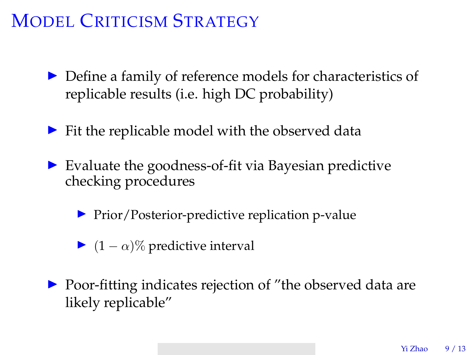# MODEL CRITICISM STRATEGY

- ▶ Define a family of reference models for characteristics of replicable results (i.e. high DC probability)
- $\triangleright$  Fit the replicable model with the observed data
- $\triangleright$  Evaluate the goodness-of-fit via Bayesian predictive checking procedures
	- ▶ Prior/Posterior-predictive replication p-value
	- $\triangleright$  (1 −  $\alpha$ )% predictive interval
- ▶ Poor-fitting indicates rejection of "the observed data are likely replicable"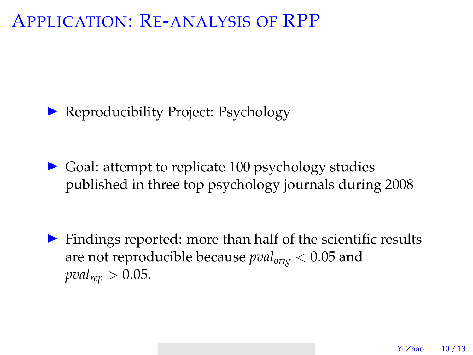### APPLICATION: RE-ANALYSIS OF RPP

▶ Reproducibility Project: Psychology

▶ Goal: attempt to replicate 100 psychology studies published in three top psychology journals during 2008

▶ Findings reported: more than half of the scientific results are not reproducible because *pvalorig* < 0.05 and  $pval_{rep} > 0.05$ .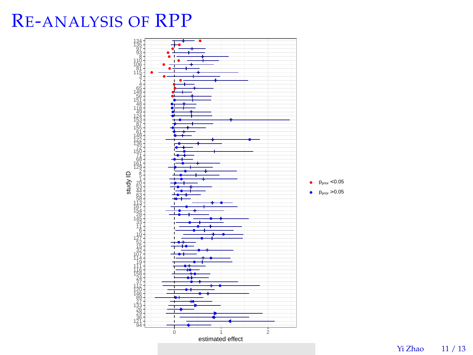# RE-ANALYSIS OF RPP



Yi Zhao 11 / 13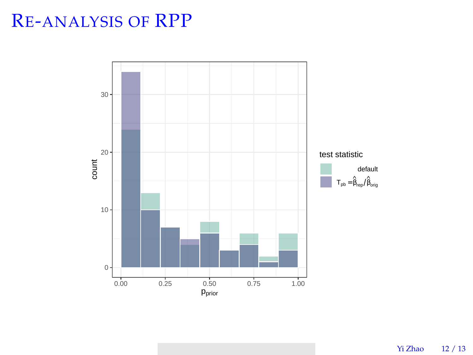# RE-ANALYSIS OF RPP